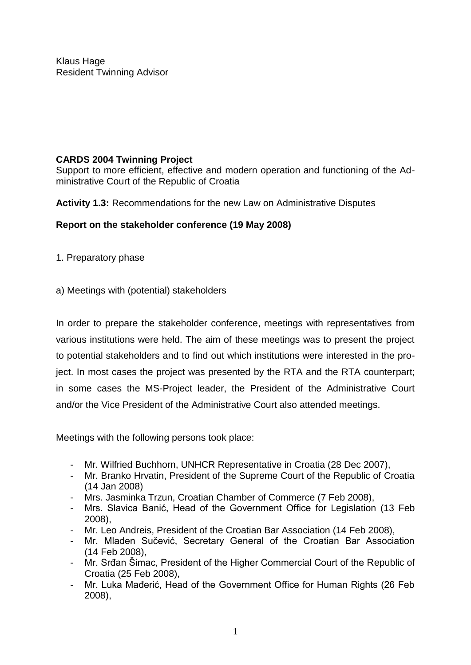Klaus Hage Resident Twinning Advisor

## **CARDS 2004 Twinning Project**

Support to more efficient, effective and modern operation and functioning of the Administrative Court of the Republic of Croatia

**Activity 1.3:** Recommendations for the new Law on Administrative Disputes

## **Report on the stakeholder conference (19 May 2008)**

- 1. Preparatory phase
- a) Meetings with (potential) stakeholders

In order to prepare the stakeholder conference, meetings with representatives from various institutions were held. The aim of these meetings was to present the project to potential stakeholders and to find out which institutions were interested in the project. In most cases the project was presented by the RTA and the RTA counterpart; in some cases the MS-Project leader, the President of the Administrative Court and/or the Vice President of the Administrative Court also attended meetings.

Meetings with the following persons took place:

- Mr. Wilfried Buchhorn, UNHCR Representative in Croatia (28 Dec 2007),
- Mr. Branko Hrvatin, President of the Supreme Court of the Republic of Croatia (14 Jan 2008)
- Mrs. Jasminka Trzun, Croatian Chamber of Commerce (7 Feb 2008),
- Mrs. Slavica Banić, Head of the Government Office for Legislation (13 Feb 2008),
- Mr. Leo Andreis, President of the Croatian Bar Association (14 Feb 2008),
- Mr. Mladen Sučević, Secretary General of the Croatian Bar Association (14 Feb 2008),
- Mr. Srđan Šimac, President of the Higher Commercial Court of the Republic of Croatia (25 Feb 2008),
- Mr. Luka Mađerić, Head of the Government Office for Human Rights (26 Feb 2008),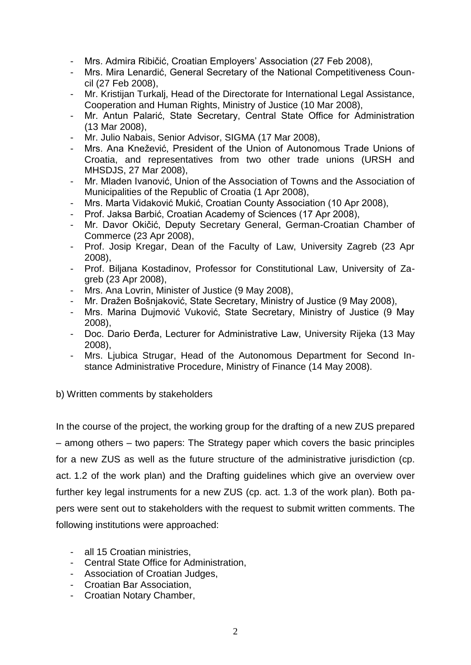- Mrs. Admira Ribičić, Croatian Employers' Association (27 Feb 2008),
- Mrs. Mira Lenardić, General Secretary of the National Competitiveness Council (27 Feb 2008),
- Mr. Kristijan Turkalj, Head of the Directorate for International Legal Assistance, Cooperation and Human Rights, Ministry of Justice (10 Mar 2008),
- Mr. Antun Palarić, State Secretary, Central State Office for Administration (13 Mar 2008),
- Mr. Julio Nabais, Senior Advisor, SIGMA (17 Mar 2008),
- Mrs. Ana Knežević, President of the Union of Autonomous Trade Unions of Croatia, and representatives from two other trade unions (URSH and MHSDJS, 27 Mar 2008),
- Mr. Mladen Ivanović, Union of the Association of Towns and the Association of Municipalities of the Republic of Croatia (1 Apr 2008),
- Mrs. Marta Vidaković Mukić, Croatian County Association (10 Apr 2008),
- Prof. Jaksa Barbić, Croatian Academy of Sciences (17 Apr 2008),
- Mr. Davor Okičić, Deputy Secretary General, German-Croatian Chamber of Commerce (23 Apr 2008),
- Prof. Josip Kregar, Dean of the Faculty of Law, University Zagreb (23 Apr 2008),
- Prof. Biljana Kostadinov, Professor for Constitutional Law, University of Zagreb (23 Apr 2008),
- Mrs. Ana Lovrin, Minister of Justice (9 May 2008),
- Mr. Dražen Bošnjaković, State Secretary, Ministry of Justice (9 May 2008),
- Mrs. Marina Dujmović Vuković, State Secretary, Ministry of Justice (9 May 2008),
- Doc. Dario Đerđa, Lecturer for Administrative Law, University Rijeka (13 May 2008),
- Mrs. Ljubica Strugar, Head of the Autonomous Department for Second Instance Administrative Procedure, Ministry of Finance (14 May 2008).

b) Written comments by stakeholders

In the course of the project, the working group for the drafting of a new ZUS prepared – among others – two papers: The Strategy paper which covers the basic principles for a new ZUS as well as the future structure of the administrative jurisdiction (cp. act. 1.2 of the work plan) and the Drafting guidelines which give an overview over further key legal instruments for a new ZUS (cp. act. 1.3 of the work plan). Both papers were sent out to stakeholders with the request to submit written comments. The following institutions were approached:

- all 15 Croatian ministries,
- Central State Office for Administration,
- Association of Croatian Judges,
- Croatian Bar Association,
- Croatian Notary Chamber,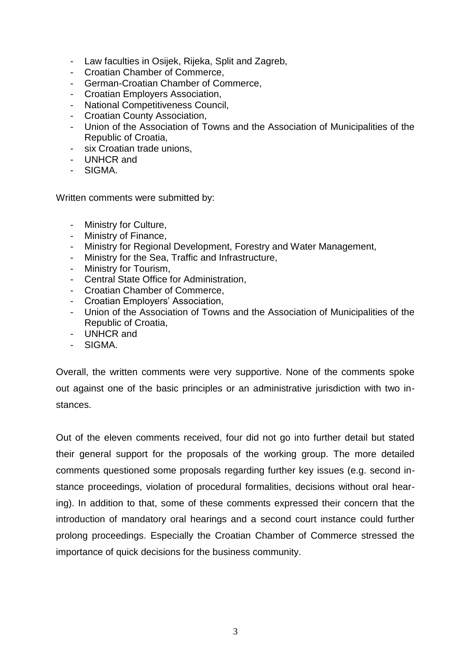- Law faculties in Osijek, Rijeka, Split and Zagreb,
- Croatian Chamber of Commerce,
- German-Croatian Chamber of Commerce,
- Croatian Employers Association,
- National Competitiveness Council,
- Croatian County Association,
- Union of the Association of Towns and the Association of Municipalities of the Republic of Croatia,
- six Croatian trade unions,
- UNHCR and
- SIGMA.

Written comments were submitted by:

- Ministry for Culture,
- Ministry of Finance,
- Ministry for Regional Development, Forestry and Water Management,
- Ministry for the Sea, Traffic and Infrastructure,
- Ministry for Tourism,
- Central State Office for Administration,
- Croatian Chamber of Commerce,
- Croatian Employers' Association,
- Union of the Association of Towns and the Association of Municipalities of the Republic of Croatia,
- UNHCR and
- SIGMA.

Overall, the written comments were very supportive. None of the comments spoke out against one of the basic principles or an administrative jurisdiction with two instances.

Out of the eleven comments received, four did not go into further detail but stated their general support for the proposals of the working group. The more detailed comments questioned some proposals regarding further key issues (e.g. second instance proceedings, violation of procedural formalities, decisions without oral hearing). In addition to that, some of these comments expressed their concern that the introduction of mandatory oral hearings and a second court instance could further prolong proceedings. Especially the Croatian Chamber of Commerce stressed the importance of quick decisions for the business community.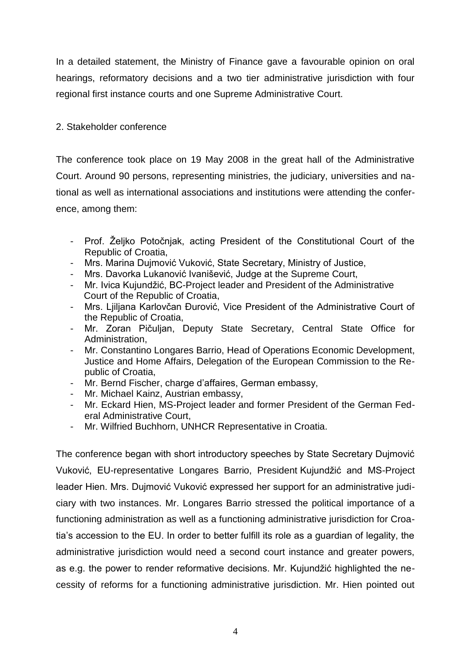In a detailed statement, the Ministry of Finance gave a favourable opinion on oral hearings, reformatory decisions and a two tier administrative jurisdiction with four regional first instance courts and one Supreme Administrative Court.

## 2. Stakeholder conference

The conference took place on 19 May 2008 in the great hall of the Administrative Court. Around 90 persons, representing ministries, the judiciary, universities and national as well as international associations and institutions were attending the conference, among them:

- Prof. Željko Potočnjak, acting President of the Constitutional Court of the Republic of Croatia,
- Mrs. Marina Dujmović Vuković, State Secretary, Ministry of Justice,
- Mrs. Davorka Lukanović Ivanišević, Judge at the Supreme Court,
- Mr. Ivica Kujundžić, BC-Project leader and President of the Administrative Court of the Republic of Croatia,
- Mrs. Ljiljana Karlovčan Đurović, Vice President of the Administrative Court of the Republic of Croatia,
- Mr. Zoran Pičuljan, Deputy State Secretary, Central State Office for Administration,
- Mr. Constantino Longares Barrio, Head of Operations Economic Development, Justice and Home Affairs, Delegation of the European Commission to the Republic of Croatia,
- Mr. Bernd Fischer, charge d'affaires, German embassy,
- Mr. Michael Kainz, Austrian embassy,
- Mr. Eckard Hien, MS-Project leader and former President of the German Federal Administrative Court,
- Mr. Wilfried Buchhorn, UNHCR Representative in Croatia.

The conference began with short introductory speeches by State Secretary Dujmović Vuković, EU-representative Longares Barrio, President Kujundžić and MS-Project leader Hien. Mrs. Dujmović Vuković expressed her support for an administrative judiciary with two instances. Mr. Longares Barrio stressed the political importance of a functioning administration as well as a functioning administrative jurisdiction for Croatia's accession to the EU. In order to better fulfill its role as a guardian of legality, the administrative jurisdiction would need a second court instance and greater powers, as e.g. the power to render reformative decisions. Mr. Kujundžić highlighted the necessity of reforms for a functioning administrative jurisdiction. Mr. Hien pointed out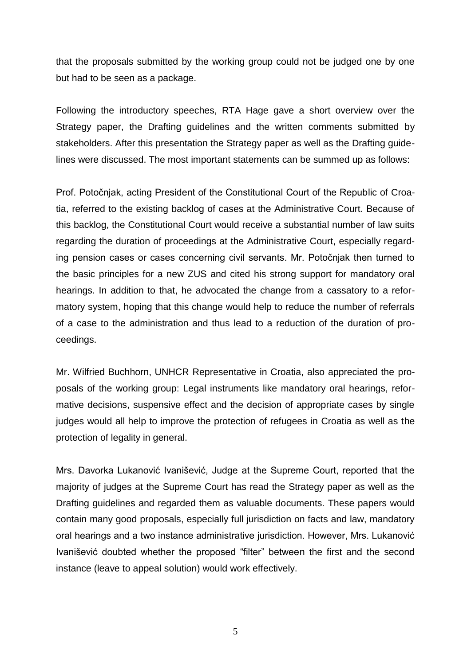that the proposals submitted by the working group could not be judged one by one but had to be seen as a package.

Following the introductory speeches, RTA Hage gave a short overview over the Strategy paper, the Drafting guidelines and the written comments submitted by stakeholders. After this presentation the Strategy paper as well as the Drafting guidelines were discussed. The most important statements can be summed up as follows:

Prof. Potočnjak, acting President of the Constitutional Court of the Republic of Croatia, referred to the existing backlog of cases at the Administrative Court. Because of this backlog, the Constitutional Court would receive a substantial number of law suits regarding the duration of proceedings at the Administrative Court, especially regarding pension cases or cases concerning civil servants. Mr. Potočnjak then turned to the basic principles for a new ZUS and cited his strong support for mandatory oral hearings. In addition to that, he advocated the change from a cassatory to a reformatory system, hoping that this change would help to reduce the number of referrals of a case to the administration and thus lead to a reduction of the duration of proceedings.

Mr. Wilfried Buchhorn, UNHCR Representative in Croatia, also appreciated the proposals of the working group: Legal instruments like mandatory oral hearings, reformative decisions, suspensive effect and the decision of appropriate cases by single judges would all help to improve the protection of refugees in Croatia as well as the protection of legality in general.

Mrs. Davorka Lukanović Ivanišević, Judge at the Supreme Court, reported that the majority of judges at the Supreme Court has read the Strategy paper as well as the Drafting guidelines and regarded them as valuable documents. These papers would contain many good proposals, especially full jurisdiction on facts and law, mandatory oral hearings and a two instance administrative jurisdiction. However, Mrs. Lukanović Ivanišević doubted whether the proposed "filter" between the first and the second instance (leave to appeal solution) would work effectively.

5